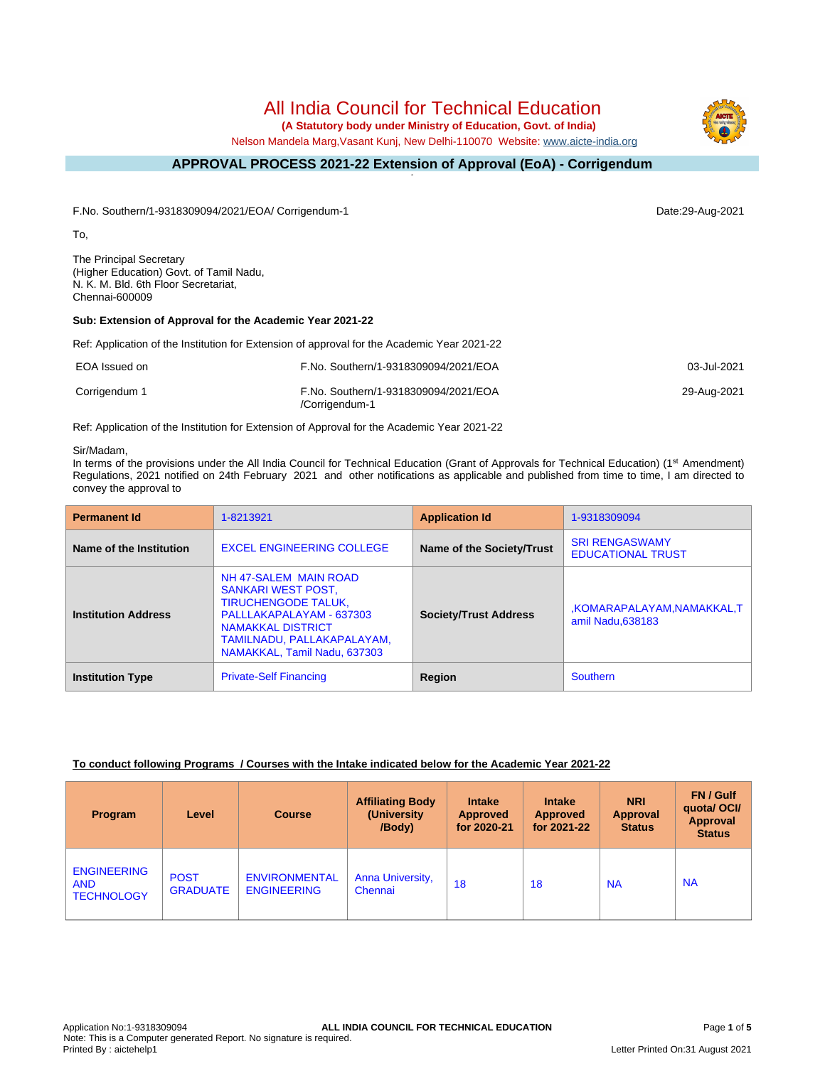# All India Council for Technical Education

 **(A Statutory body under Ministry of Education, Govt. of India)**

Nelson Mandela Marg,Vasant Kunj, New Delhi-110070 Website: [www.aicte-india.org](http://www.aicte-india.org)

#### **APPROVAL PROCESS 2021-22 Extension of Approval (EoA) - Corrigendum -**

F.No. Southern/1-9318309094/2021/EOA/ Corrigendum-1 Date:29-Aug-2021

To,

The Principal Secretary (Higher Education) Govt. of Tamil Nadu, N. K. M. Bld. 6th Floor Secretariat, Chennai-600009

#### **Sub: Extension of Approval for the Academic Year 2021-22**

Ref: Application of the Institution for Extension of approval for the Academic Year 2021-22

| EOA Issued on | F.No. Southern/1-9318309094/2021/EOA                   | 03-Jul-2021 |
|---------------|--------------------------------------------------------|-------------|
| Corrigendum 1 | F.No. Southern/1-9318309094/2021/EOA<br>/Corrigendum-1 | 29-Aug-2021 |

Ref: Application of the Institution for Extension of Approval for the Academic Year 2021-22

#### Sir/Madam,

In terms of the provisions under the All India Council for Technical Education (Grant of Approvals for Technical Education) (1<sup>st</sup> Amendment) Regulations, 2021 notified on 24th February 2021 and other notifications as applicable and published from time to time, I am directed to convey the approval to

| <b>Permanent Id</b>        | 1-8213921                                                                                                                                                                                       | <b>Application Id</b>        | 1-9318309094                                      |
|----------------------------|-------------------------------------------------------------------------------------------------------------------------------------------------------------------------------------------------|------------------------------|---------------------------------------------------|
| Name of the Institution    | <b>EXCEL ENGINEERING COLLEGE</b>                                                                                                                                                                | Name of the Society/Trust    | <b>SRI RENGASWAMY</b><br><b>EDUCATIONAL TRUST</b> |
| <b>Institution Address</b> | NH 47-SALEM MAIN ROAD<br>SANKARI WEST POST.<br><b>TIRUCHENGODE TALUK,</b><br>PALLLAKAPALAYAM - 637303<br><b>NAMAKKAL DISTRICT</b><br>TAMILNADU, PALLAKAPALAYAM.<br>NAMAKKAL, Tamil Nadu, 637303 | <b>Society/Trust Address</b> | KOMARAPALAYAM, NAMAKKAL, T.<br>amil Nadu, 638183  |
| <b>Institution Type</b>    | <b>Private-Self Financing</b>                                                                                                                                                                   | Region                       | Southern                                          |

#### **To conduct following Programs / Courses with the Intake indicated below for the Academic Year 2021-22**

| Program                                               | Level                          | <b>Course</b>                              | <b>Affiliating Body</b><br>(University<br>/Body) | <b>Intake</b><br><b>Approved</b><br>for 2020-21 | <b>Intake</b><br><b>Approved</b><br>for 2021-22 | <b>NRI</b><br><b>Approval</b><br><b>Status</b> | FN / Gulf<br>quotal OCI/<br>Approval<br><b>Status</b> |
|-------------------------------------------------------|--------------------------------|--------------------------------------------|--------------------------------------------------|-------------------------------------------------|-------------------------------------------------|------------------------------------------------|-------------------------------------------------------|
| <b>ENGINEERING</b><br><b>AND</b><br><b>TECHNOLOGY</b> | <b>POST</b><br><b>GRADUATE</b> | <b>ENVIRONMENTAL</b><br><b>ENGINEERING</b> | Anna University,<br>Chennai                      | 18                                              | 18                                              | <b>NA</b>                                      | <b>NA</b>                                             |

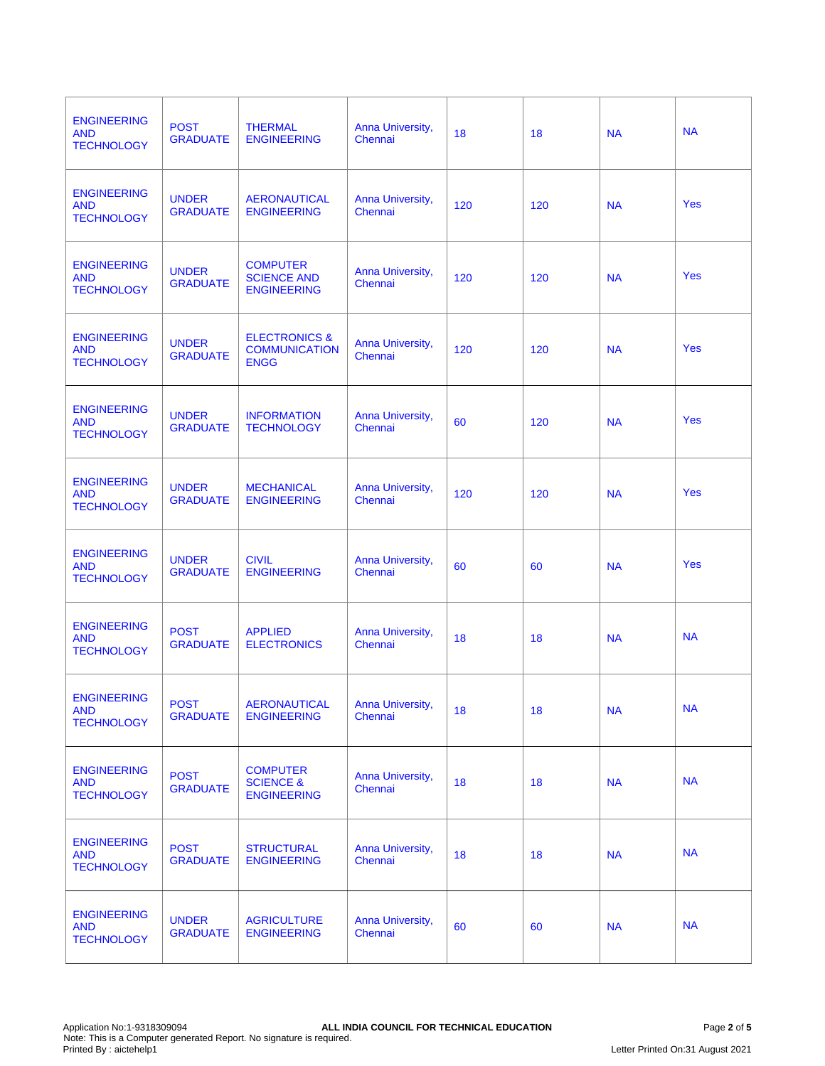| <b>ENGINEERING</b><br><b>AND</b><br><b>TECHNOLOGY</b> | <b>POST</b><br><b>GRADUATE</b>  | <b>THERMAL</b><br><b>ENGINEERING</b>                            | Anna University,<br>Chennai        | 18  | 18  | <b>NA</b> | <b>NA</b>  |
|-------------------------------------------------------|---------------------------------|-----------------------------------------------------------------|------------------------------------|-----|-----|-----------|------------|
| <b>ENGINEERING</b><br><b>AND</b><br><b>TECHNOLOGY</b> | <b>UNDER</b><br><b>GRADUATE</b> | <b>AERONAUTICAL</b><br><b>ENGINEERING</b>                       | Anna University,<br>Chennai        | 120 | 120 | <b>NA</b> | Yes        |
| <b>ENGINEERING</b><br><b>AND</b><br><b>TECHNOLOGY</b> | <b>UNDER</b><br><b>GRADUATE</b> | <b>COMPUTER</b><br><b>SCIENCE AND</b><br><b>ENGINEERING</b>     | Anna University,<br>Chennai        | 120 | 120 | <b>NA</b> | <b>Yes</b> |
| <b>ENGINEERING</b><br><b>AND</b><br><b>TECHNOLOGY</b> | <b>UNDER</b><br><b>GRADUATE</b> | <b>ELECTRONICS &amp;</b><br><b>COMMUNICATION</b><br><b>ENGG</b> | Anna University,<br>Chennai        | 120 | 120 | <b>NA</b> | <b>Yes</b> |
| <b>ENGINEERING</b><br><b>AND</b><br><b>TECHNOLOGY</b> | <b>UNDER</b><br><b>GRADUATE</b> | <b>INFORMATION</b><br><b>TECHNOLOGY</b>                         | Anna University,<br>Chennai        | 60  | 120 | <b>NA</b> | <b>Yes</b> |
| <b>ENGINEERING</b><br><b>AND</b><br><b>TECHNOLOGY</b> | <b>UNDER</b><br><b>GRADUATE</b> | <b>MECHANICAL</b><br><b>ENGINEERING</b>                         | Anna University,<br>Chennai        | 120 | 120 | <b>NA</b> | Yes        |
| <b>ENGINEERING</b><br><b>AND</b><br><b>TECHNOLOGY</b> | <b>UNDER</b><br><b>GRADUATE</b> | <b>CIVIL</b><br><b>ENGINEERING</b>                              | Anna University,<br>Chennai        | 60  | 60  | <b>NA</b> | <b>Yes</b> |
| <b>ENGINEERING</b><br><b>AND</b><br><b>TECHNOLOGY</b> | <b>POST</b><br><b>GRADUATE</b>  | <b>APPLIED</b><br><b>ELECTRONICS</b>                            | Anna University,<br>Chennai        | 18  | 18  | <b>NA</b> | <b>NA</b>  |
| <b>ENGINEERING</b><br><b>AND</b><br><b>TECHNOLOGY</b> | <b>POST</b><br><b>GRADUATE</b>  | <b>AERONAUTICAL</b><br><b>ENGINEERING</b>                       | <b>Anna University,</b><br>Chennai | 18  | 18  | <b>NA</b> | <b>NA</b>  |
| <b>ENGINEERING</b><br><b>AND</b><br><b>TECHNOLOGY</b> | <b>POST</b><br><b>GRADUATE</b>  | <b>COMPUTER</b><br><b>SCIENCE &amp;</b><br><b>ENGINEERING</b>   | Anna University,<br>Chennai        | 18  | 18  | <b>NA</b> | <b>NA</b>  |
| <b>ENGINEERING</b><br><b>AND</b><br><b>TECHNOLOGY</b> | <b>POST</b><br><b>GRADUATE</b>  | <b>STRUCTURAL</b><br><b>ENGINEERING</b>                         | Anna University,<br>Chennai        | 18  | 18  | <b>NA</b> | <b>NA</b>  |
| <b>ENGINEERING</b><br><b>AND</b><br><b>TECHNOLOGY</b> | <b>UNDER</b><br><b>GRADUATE</b> | <b>AGRICULTURE</b><br><b>ENGINEERING</b>                        | Anna University,<br>Chennai        | 60  | 60  | <b>NA</b> | <b>NA</b>  |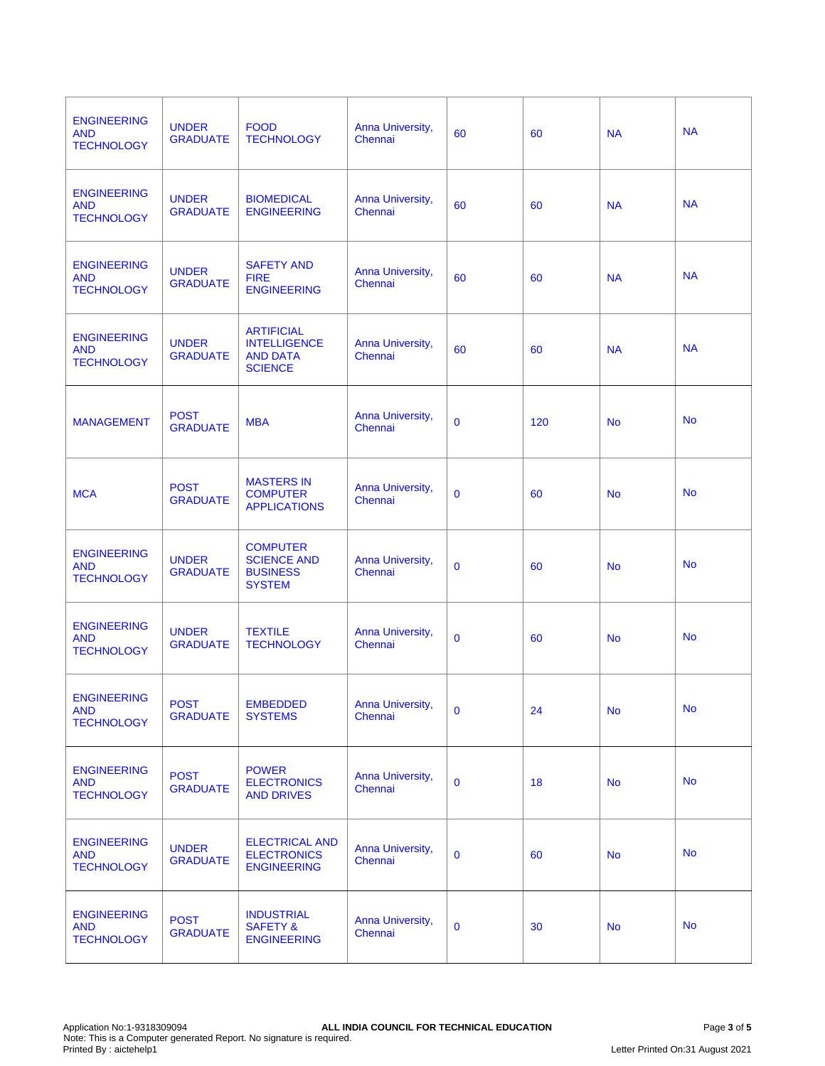| <b>ENGINEERING</b><br><b>AND</b><br><b>TECHNOLOGY</b> | <b>UNDER</b><br><b>GRADUATE</b> | <b>FOOD</b><br><b>TECHNOLOGY</b>                                              | Anna University,<br>Chennai | 60           | 60  | <b>NA</b> | <b>NA</b> |
|-------------------------------------------------------|---------------------------------|-------------------------------------------------------------------------------|-----------------------------|--------------|-----|-----------|-----------|
| <b>ENGINEERING</b><br><b>AND</b><br><b>TECHNOLOGY</b> | <b>UNDER</b><br><b>GRADUATE</b> | <b>BIOMEDICAL</b><br><b>ENGINEERING</b>                                       | Anna University,<br>Chennai | 60           | 60  | <b>NA</b> | <b>NA</b> |
| <b>ENGINEERING</b><br><b>AND</b><br><b>TECHNOLOGY</b> | <b>UNDER</b><br><b>GRADUATE</b> | <b>SAFETY AND</b><br><b>FIRE</b><br><b>ENGINEERING</b>                        | Anna University,<br>Chennai | 60           | 60  | <b>NA</b> | <b>NA</b> |
| <b>ENGINEERING</b><br><b>AND</b><br><b>TECHNOLOGY</b> | <b>UNDER</b><br><b>GRADUATE</b> | <b>ARTIFICIAL</b><br><b>INTELLIGENCE</b><br><b>AND DATA</b><br><b>SCIENCE</b> | Anna University,<br>Chennai | 60           | 60  | <b>NA</b> | <b>NA</b> |
| <b>MANAGEMENT</b>                                     | <b>POST</b><br><b>GRADUATE</b>  | <b>MBA</b>                                                                    | Anna University,<br>Chennai | $\mathbf 0$  | 120 | <b>No</b> | <b>No</b> |
| <b>MCA</b>                                            | <b>POST</b><br><b>GRADUATE</b>  | <b>MASTERS IN</b><br><b>COMPUTER</b><br><b>APPLICATIONS</b>                   | Anna University,<br>Chennai | $\mathbf 0$  | 60  | <b>No</b> | <b>No</b> |
| <b>ENGINEERING</b><br><b>AND</b><br><b>TECHNOLOGY</b> | <b>UNDER</b><br><b>GRADUATE</b> | <b>COMPUTER</b><br><b>SCIENCE AND</b><br><b>BUSINESS</b><br><b>SYSTEM</b>     | Anna University,<br>Chennai | $\mathbf 0$  | 60  | <b>No</b> | <b>No</b> |
| <b>ENGINEERING</b><br><b>AND</b><br><b>TECHNOLOGY</b> | <b>UNDER</b><br><b>GRADUATE</b> | <b>TEXTILE</b><br><b>TECHNOLOGY</b>                                           | Anna University,<br>Chennai | $\mathbf 0$  | 60  | <b>No</b> | <b>No</b> |
| <b>ENGINEERING</b><br><b>AND</b><br><b>TECHNOLOGY</b> | <b>POST</b><br><b>GRADUATE</b>  | <b>EMBEDDED</b><br><b>SYSTEMS</b>                                             | Anna University,<br>Chennai | $\mathbf{0}$ | 24  | <b>No</b> | <b>No</b> |
| <b>ENGINEERING</b><br><b>AND</b><br><b>TECHNOLOGY</b> | <b>POST</b><br><b>GRADUATE</b>  | <b>POWER</b><br><b>ELECTRONICS</b><br><b>AND DRIVES</b>                       | Anna University,<br>Chennai | $\mathbf 0$  | 18  | <b>No</b> | <b>No</b> |
| <b>ENGINEERING</b><br><b>AND</b><br><b>TECHNOLOGY</b> | <b>UNDER</b><br><b>GRADUATE</b> | <b>ELECTRICAL AND</b><br><b>ELECTRONICS</b><br><b>ENGINEERING</b>             | Anna University,<br>Chennai | $\mathbf{0}$ | 60  | <b>No</b> | <b>No</b> |
| <b>ENGINEERING</b><br><b>AND</b><br><b>TECHNOLOGY</b> | <b>POST</b><br><b>GRADUATE</b>  | <b>INDUSTRIAL</b><br><b>SAFETY &amp;</b><br><b>ENGINEERING</b>                | Anna University,<br>Chennai | $\mathbf 0$  | 30  | <b>No</b> | <b>No</b> |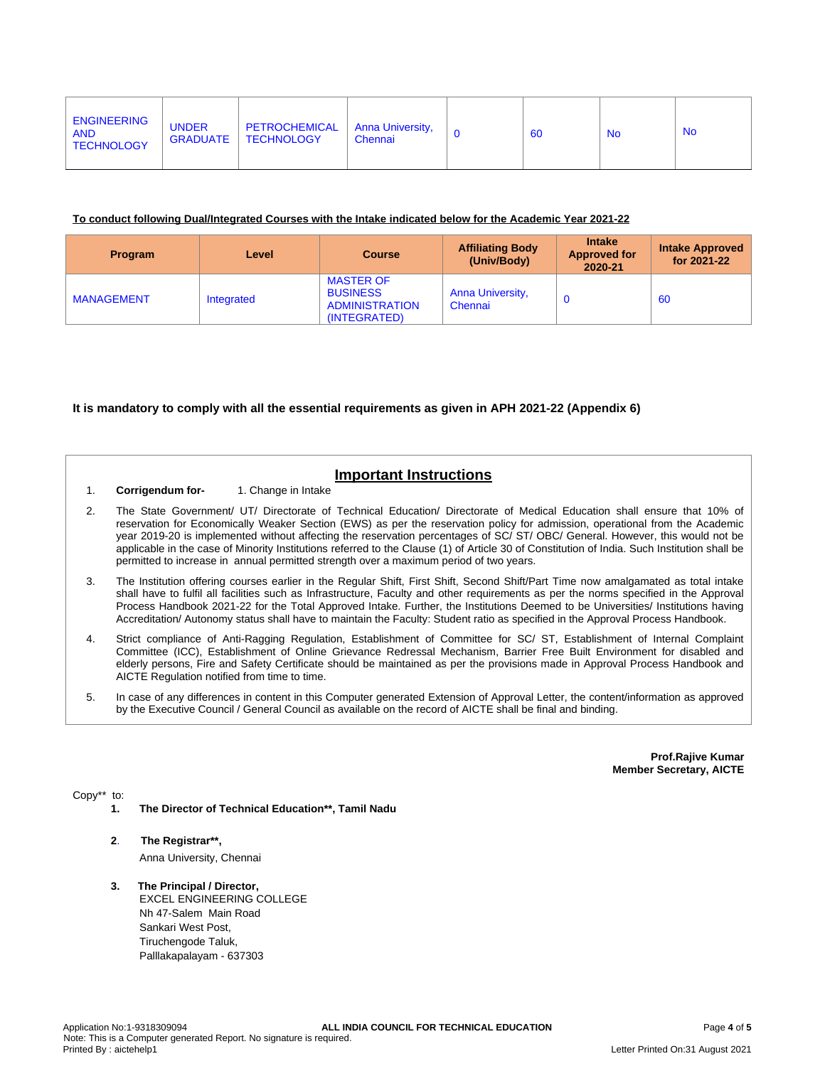| <b>ENGINEERING</b><br><b>AND</b><br><b>TECHNOLOGY</b> | <b>UNDER</b><br><b>GRADUATE</b> | <b>PETROCHEMICAL</b><br><b>TECHNOLOGY</b> | Anna University,<br>Chennai |  | 60 | <b>No</b> | <b>No</b> |
|-------------------------------------------------------|---------------------------------|-------------------------------------------|-----------------------------|--|----|-----------|-----------|
|-------------------------------------------------------|---------------------------------|-------------------------------------------|-----------------------------|--|----|-----------|-----------|

#### **To conduct following Dual/Integrated Courses with the Intake indicated below for the Academic Year 2021-22**

| Program           | Level      | <b>Course</b>                                                                | <b>Affiliating Body</b><br>(Univ/Body) | <b>Intake</b><br><b>Approved for</b><br>2020-21 | <b>Intake Approved</b><br>for 2021-22 |
|-------------------|------------|------------------------------------------------------------------------------|----------------------------------------|-------------------------------------------------|---------------------------------------|
| <b>MANAGEMENT</b> | Integrated | <b>MASTER OF</b><br><b>BUSINESS</b><br><b>ADMINISTRATION</b><br>(INTEGRATED) | <b>Anna University,</b><br>Chennai     |                                                 | 60                                    |

#### **It is mandatory to comply with all the essential requirements as given in APH 2021-22 (Appendix 6)**

## **Important Instructions**

- 1. **Corrigendum for-** 1. Change in Intake
- 2. The State Government/ UT/ Directorate of Technical Education/ Directorate of Medical Education shall ensure that 10% of reservation for Economically Weaker Section (EWS) as per the reservation policy for admission, operational from the Academic year 2019-20 is implemented without affecting the reservation percentages of SC/ ST/ OBC/ General. However, this would not be applicable in the case of Minority Institutions referred to the Clause (1) of Article 30 of Constitution of India. Such Institution shall be permitted to increase in annual permitted strength over a maximum period of two years.
- 3. The Institution offering courses earlier in the Regular Shift, First Shift, Second Shift/Part Time now amalgamated as total intake shall have to fulfil all facilities such as Infrastructure, Faculty and other requirements as per the norms specified in the Approval Process Handbook 2021-22 for the Total Approved Intake. Further, the Institutions Deemed to be Universities/ Institutions having Accreditation/ Autonomy status shall have to maintain the Faculty: Student ratio as specified in the Approval Process Handbook.
- 4. Strict compliance of Anti-Ragging Regulation, Establishment of Committee for SC/ ST, Establishment of Internal Complaint Committee (ICC), Establishment of Online Grievance Redressal Mechanism, Barrier Free Built Environment for disabled and elderly persons, Fire and Safety Certificate should be maintained as per the provisions made in Approval Process Handbook and AICTE Regulation notified from time to time.
- 5. In case of any differences in content in this Computer generated Extension of Approval Letter, the content/information as approved by the Executive Council / General Council as available on the record of AICTE shall be final and binding.

**Prof.Rajive Kumar Member Secretary, AICTE**

Copy\*\* to:

- **1. The Director of Technical Education\*\*, Tamil Nadu**
- **2**. **The Registrar\*\*,**

Anna University, Chennai

### **3. The Principal / Director,**

EXCEL ENGINEERING COLLEGE Nh 47-Salem Main Road Sankari West Post, Tiruchengode Taluk, Palllakapalayam - 637303